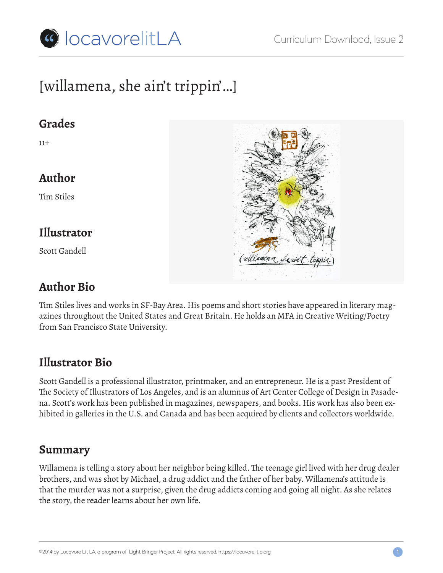

# [willamena, she ain't trippin'…]

## **Grades**

11+

# **Author**

Tim Stiles

# **Illustrator**

Scott Gandell

# **Author Bio**

Tim Stiles lives and works in SF-Bay Area. His poems and short stories have appeared in literary magazines throughout the United States and Great Britain. He holds an MFA in Creative Writing/Poetry from San Francisco State University.

# **Illustrator Bio**

Scott Gandell is a professional illustrator, printmaker, and an entrepreneur. He is a past President of The Society of Illustrators of Los Angeles, and is an alumnus of Art Center College of Design in Pasadena. Scott's work has been published in magazines, newspapers, and books. His work has also been exhibited in galleries in the U.S. and Canada and has been acquired by clients and collectors worldwide.

## **Summary**

Willamena is telling a story about her neighbor being killed. The teenage girl lived with her drug dealer brothers, and was shot by Michael, a drug addict and the father of her baby. Willamena's attitude is that the murder was not a surprise, given the drug addicts coming and going all night. As she relates the story, the reader learns about her own life.

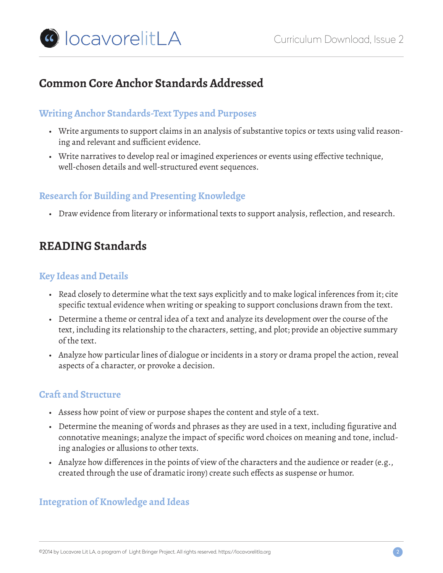

# **Common Core Anchor Standards Addressed**

## **Writing Anchor Standards-Text Types and Purposes**

- Write arguments to support claims in an analysis of substantive topics or texts using valid reasoning and relevant and sufficient evidence.
- Write narratives to develop real or imagined experiences or events using effective technique, well-chosen details and well-structured event sequences.

## **Research for Building and Presenting Knowledge**

• Draw evidence from literary or informational texts to support analysis, reflection, and research.

## **READING Standards**

## **Key Ideas and Details**

- Read closely to determine what the text says explicitly and to make logical inferences from it; cite specific textual evidence when writing or speaking to support conclusions drawn from the text.
- Determine a theme or central idea of a text and analyze its development over the course of the text, including its relationship to the characters, setting, and plot; provide an objective summary of the text.
- Analyze how particular lines of dialogue or incidents in a story or drama propel the action, reveal aspects of a character, or provoke a decision.

### **Craft and Structure**

- Assess how point of view or purpose shapes the content and style of a text.
- Determine the meaning of words and phrases as they are used in a text, including figurative and connotative meanings; analyze the impact of specific word choices on meaning and tone, including analogies or allusions to other texts.
- Analyze how differences in the points of view of the characters and the audience or reader (e.g., created through the use of dramatic irony) create such effects as suspense or humor.

## **Integration of Knowledge and Ideas**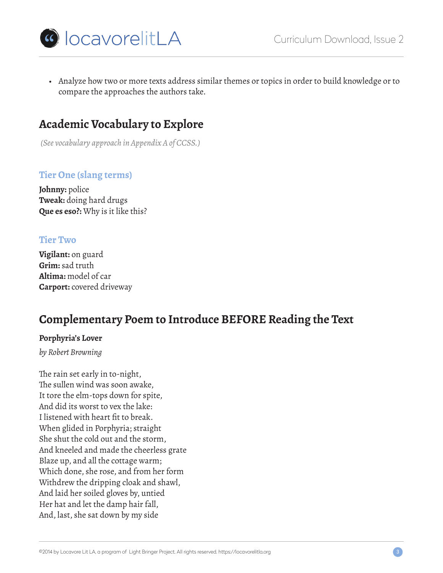

• Analyze how two or more texts address similar themes or topics in order to build knowledge or to compare the approaches the authors take.

## **Academic Vocabulary to Explore**

 *(See vocabulary approach in Appendix A of CCSS.)*

### **Tier One (slang terms)**

**Johnny:** police **Tweak:** doing hard drugs **Que es eso?:** Why is it like this?

### **Tier Two**

**Vigilant:** on guard **Grim:** sad truth **Altima:** model of car **Carport:** covered driveway

## **Complementary Poem to Introduce BEFORE Reading the Text**

#### **Porphyria's Lover**

*by Robert Browning*

The rain set early in to-night, The sullen wind was soon awake, It tore the elm-tops down for spite, And did its worst to vex the lake: I listened with heart fit to break. When glided in Porphyria; straight She shut the cold out and the storm, And kneeled and made the cheerless grate Blaze up, and all the cottage warm; Which done, she rose, and from her form Withdrew the dripping cloak and shawl, And laid her soiled gloves by, untied Her hat and let the damp hair fall, And, last, she sat down by my side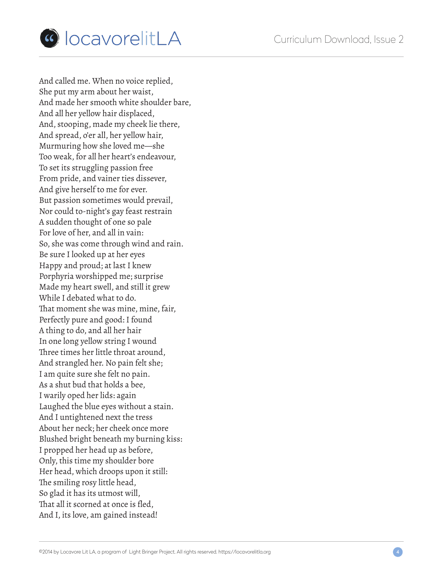

And called me. When no voice replied, She put my arm about her waist, And made her smooth white shoulder bare, And all her yellow hair displaced, And, stooping, made my cheek lie there, And spread, o'er all, her yellow hair, Murmuring how she loved me—she Too weak, for all her heart's endeavour, To set its struggling passion free From pride, and vainer ties dissever, And give herself to me for ever. But passion sometimes would prevail, Nor could to-night's gay feast restrain A sudden thought of one so pale For love of her, and all in vain: So, she was come through wind and rain. Be sure I looked up at her eyes Happy and proud; at last I knew Porphyria worshipped me; surprise Made my heart swell, and still it grew While I debated what to do. That moment she was mine, mine, fair, Perfectly pure and good: I found A thing to do, and all her hair In one long yellow string I wound Three times her little throat around, And strangled her. No pain felt she; I am quite sure she felt no pain. As a shut bud that holds a bee, I warily oped her lids: again Laughed the blue eyes without a stain. And I untightened next the tress About her neck; her cheek once more Blushed bright beneath my burning kiss: I propped her head up as before, Only, this time my shoulder bore Her head, which droops upon it still: The smiling rosy little head, So glad it has its utmost will, That all it scorned at once is fled, And I, its love, am gained instead!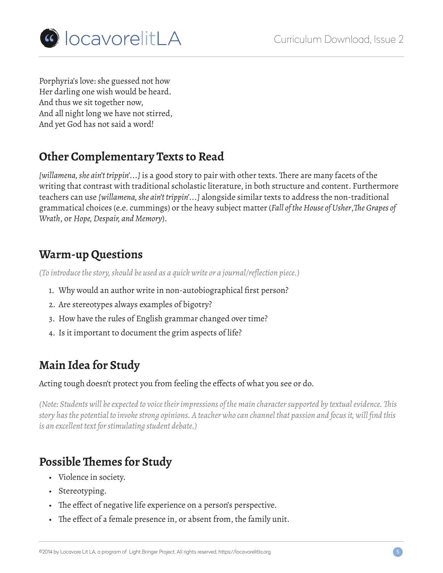

Porphyria's love: she guessed not how Her darling one wish would be heard. And thus we sit together now, And all night long we have not stirred, And yet God has not said a word!

# **Other Complementary Texts to Read**

*[willamena, she ain't trippin'...]* is a good story to pair with other texts. There are many facets of the writing that contrast with traditional scholastic literature, in both structure and content. Furthermore teachers can use *[willamena, she ain't trippin'...]* alongside similar texts to address the non-traditional grammatical choices (e.e. cummings) or the heavy subject matter (*Fall of the House of Usher*,*The Grapes of Wrath*, or *Hope, Despair, and Memory*).

# **Warm-up Questions**

*(To introduce the story, should be used as a quick write or a journal/reflection piece.)*

- 1. Why would an author write in non-autobiographical first person?
- 2. Are stereotypes always examples of bigotry?
- 3. How have the rules of English grammar changed over time?
- 4. Is it important to document the grim aspects of life?

# **Main Idea for Study**

### Acting tough doesn't protect you from feeling the effects of what you see or do.

*(Note: Students will be expected to voice their impressions of the main character supported by textual evidence. This story has the potential to invoke strong opinions. A teacher who can channel that passion and focus it, will find this is an excellent text for stimulating student debate.)*

# **Possible Themes for Study**

- Violence in society.
- Stereotyping.
- The effect of negative life experience on a person's perspective.
- The effect of a female presence in, or absent from, the family unit.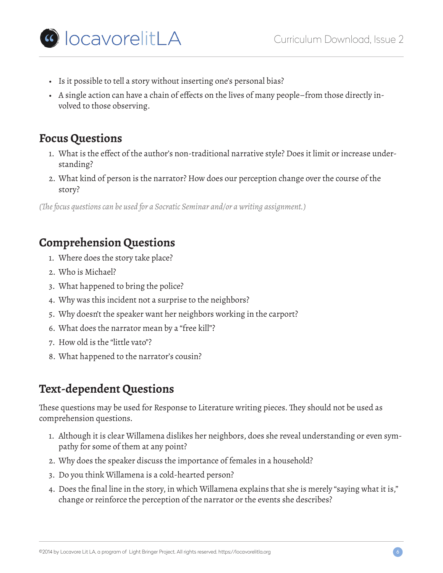

- Is it possible to tell a story without inserting one's personal bias?
- A single action can have a chain of effects on the lives of many people–from those directly involved to those observing.

## **Focus Questions**

- 1. What is the effect of the author's non-traditional narrative style? Does it limit or increase understanding?
- 2. What kind of person is the narrator? How does our perception change over the course of the story?

*(The focus questions can be used for a Socratic Seminar and/or a writing assignment.)*

## **Comprehension Questions**

- 1. Where does the story take place?
- 2. Who is Michael?
- 3. What happened to bring the police?
- 4. Why was this incident not a surprise to the neighbors?
- 5. Why doesn't the speaker want her neighbors working in the carport?
- 6. What does the narrator mean by a "free kill"?
- 7. How old is the "little vato"?
- 8. What happened to the narrator's cousin?

# **Text-dependent Questions**

These questions may be used for Response to Literature writing pieces. They should not be used as comprehension questions.

- 1. Although it is clear Willamena dislikes her neighbors, does she reveal understanding or even sympathy for some of them at any point?
- 2. Why does the speaker discuss the importance of females in a household?
- 3. Do you think Willamena is a cold-hearted person?
- 4. Does the final line in the story, in which Willamena explains that she is merely "saying what it is," change or reinforce the perception of the narrator or the events she describes?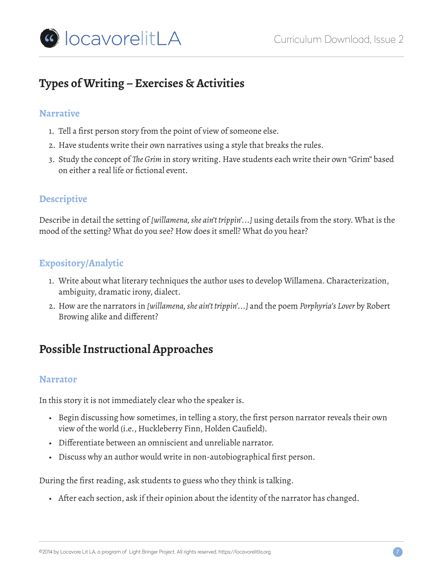

# **Types of Writing – Exercises & Activities**

### **Narrative**

- 1. Tell a first person story from the point of view of someone else.
- 2. Have students write their own narratives using a style that breaks the rules.
- 3. Study the concept of *The Grim* in story writing. Have students each write their own "Grim" based on either a real life or fictional event.

## **Descriptive**

Describe in detail the setting of *[willamena, she ain't trippin'...]* using details from the story. What is the mood of the setting? What do you see? How does it smell? What do you hear?

## **Expository/Analytic**

- 1. Write about what literary techniques the author uses to develop Willamena. Characterization, ambiguity, dramatic irony, dialect.
- 2. How are the narrators in *[willamena, she ain't trippin'...]* and the poem *Porphyria's Lover* by Robert Browing alike and different?

# **Possible Instructional Approaches**

### **Narrator**

In this story it is not immediately clear who the speaker is.

- Begin discussing how sometimes, in telling a story, the first person narrator reveals their own view of the world (i.e., Huckleberry Finn, Holden Caufield).
- Differentiate between an omniscient and unreliable narrator.
- Discuss why an author would write in non-autobiographical first person.

During the first reading, ask students to guess who they think is talking.

• After each section, ask if their opinion about the identity of the narrator has changed.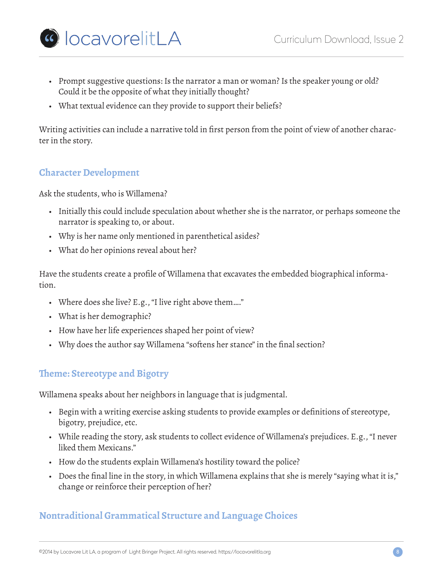

- Prompt suggestive questions: Is the narrator a man or woman? Is the speaker young or old? Could it be the opposite of what they initially thought?
- What textual evidence can they provide to support their beliefs?

Writing activities can include a narrative told in first person from the point of view of another character in the story.

### **Character Development**

Ask the students, who is Willamena?

- Initially this could include speculation about whether she is the narrator, or perhaps someone the narrator is speaking to, or about.
- Why is her name only mentioned in parenthetical asides?
- What do her opinions reveal about her?

Have the students create a profile of Willamena that excavates the embedded biographical information.

- Where does she live? E.g., "I live right above them...."
- What is her demographic?
- How have her life experiences shaped her point of view?
- Why does the author say Willamena "softens her stance" in the final section?

### **Theme: Stereotype and Bigotry**

Willamena speaks about her neighbors in language that is judgmental.

- Begin with a writing exercise asking students to provide examples or definitions of stereotype, bigotry, prejudice, etc.
- While reading the story, ask students to collect evidence of Willamena's prejudices. E.g., "I never liked them Mexicans."
- How do the students explain Willamena's hostility toward the police?
- Does the final line in the story, in which Willamena explains that she is merely "saying what it is," change or reinforce their perception of her?

### **Nontraditional Grammatical Structure and Language Choices**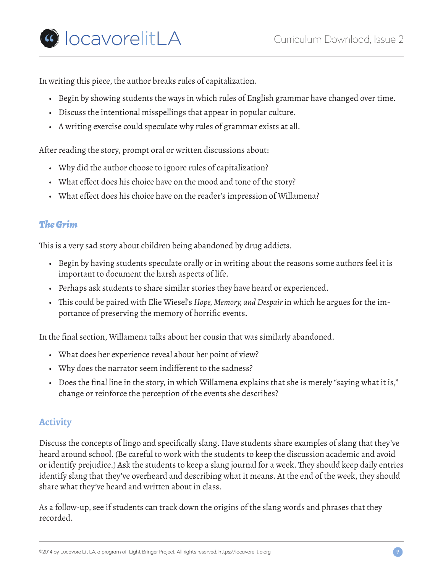ColocavorelitLA

In writing this piece, the author breaks rules of capitalization.

- Begin by showing students the ways in which rules of English grammar have changed over time.
- Discuss the intentional misspellings that appear in popular culture.
- A writing exercise could speculate why rules of grammar exists at all.

After reading the story, prompt oral or written discussions about:

- Why did the author choose to ignore rules of capitalization?
- What effect does his choice have on the mood and tone of the story?
- What effect does his choice have on the reader's impression of Willamena?

## *The Grim*

This is a very sad story about children being abandoned by drug addicts.

- Begin by having students speculate orally or in writing about the reasons some authors feel it is important to document the harsh aspects of life.
- Perhaps ask students to share similar stories they have heard or experienced.
- This could be paired with Elie Wiesel's *Hope, Memory, and Despair* in which he argues for the importance of preserving the memory of horrific events.

In the final section, Willamena talks about her cousin that was similarly abandoned.

- What does her experience reveal about her point of view?
- Why does the narrator seem indifferent to the sadness?
- Does the final line in the story, in which Willamena explains that she is merely "saying what it is," change or reinforce the perception of the events she describes?

## **Activity**

Discuss the concepts of lingo and specifically slang. Have students share examples of slang that they've heard around school. (Be careful to work with the students to keep the discussion academic and avoid or identify prejudice.) Ask the students to keep a slang journal for a week. They should keep daily entries identify slang that they've overheard and describing what it means. At the end of the week, they should share what they've heard and written about in class.

As a follow-up, see if students can track down the origins of the slang words and phrases that they recorded.